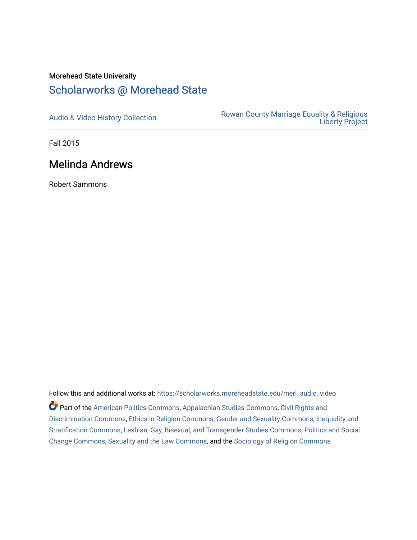## Morehead State University

## [Scholarworks @ Morehead State](https://scholarworks.moreheadstate.edu/)

[Audio & Video History Collection](https://scholarworks.moreheadstate.edu/merl_audio_video) **Rowan County Marriage Equality & Religious** [Liberty Project](https://scholarworks.moreheadstate.edu/merl) 

Fall 2015

## Melinda Andrews

Robert Sammons

Follow this and additional works at: [https://scholarworks.moreheadstate.edu/merl\\_audio\\_video](https://scholarworks.moreheadstate.edu/merl_audio_video?utm_source=scholarworks.moreheadstate.edu%2Fmerl_audio_video%2F86&utm_medium=PDF&utm_campaign=PDFCoverPages)  Part of the [American Politics Commons,](http://network.bepress.com/hgg/discipline/387?utm_source=scholarworks.moreheadstate.edu%2Fmerl_audio_video%2F86&utm_medium=PDF&utm_campaign=PDFCoverPages) [Appalachian Studies Commons,](http://network.bepress.com/hgg/discipline/1253?utm_source=scholarworks.moreheadstate.edu%2Fmerl_audio_video%2F86&utm_medium=PDF&utm_campaign=PDFCoverPages) [Civil Rights and](http://network.bepress.com/hgg/discipline/585?utm_source=scholarworks.moreheadstate.edu%2Fmerl_audio_video%2F86&utm_medium=PDF&utm_campaign=PDFCoverPages) [Discrimination Commons,](http://network.bepress.com/hgg/discipline/585?utm_source=scholarworks.moreheadstate.edu%2Fmerl_audio_video%2F86&utm_medium=PDF&utm_campaign=PDFCoverPages) [Ethics in Religion Commons,](http://network.bepress.com/hgg/discipline/541?utm_source=scholarworks.moreheadstate.edu%2Fmerl_audio_video%2F86&utm_medium=PDF&utm_campaign=PDFCoverPages) [Gender and Sexuality Commons](http://network.bepress.com/hgg/discipline/420?utm_source=scholarworks.moreheadstate.edu%2Fmerl_audio_video%2F86&utm_medium=PDF&utm_campaign=PDFCoverPages), [Inequality and](http://network.bepress.com/hgg/discipline/421?utm_source=scholarworks.moreheadstate.edu%2Fmerl_audio_video%2F86&utm_medium=PDF&utm_campaign=PDFCoverPages)  [Stratification Commons](http://network.bepress.com/hgg/discipline/421?utm_source=scholarworks.moreheadstate.edu%2Fmerl_audio_video%2F86&utm_medium=PDF&utm_campaign=PDFCoverPages), [Lesbian, Gay, Bisexual, and Transgender Studies Commons,](http://network.bepress.com/hgg/discipline/560?utm_source=scholarworks.moreheadstate.edu%2Fmerl_audio_video%2F86&utm_medium=PDF&utm_campaign=PDFCoverPages) [Politics and Social](http://network.bepress.com/hgg/discipline/425?utm_source=scholarworks.moreheadstate.edu%2Fmerl_audio_video%2F86&utm_medium=PDF&utm_campaign=PDFCoverPages)  [Change Commons](http://network.bepress.com/hgg/discipline/425?utm_source=scholarworks.moreheadstate.edu%2Fmerl_audio_video%2F86&utm_medium=PDF&utm_campaign=PDFCoverPages), [Sexuality and the Law Commons,](http://network.bepress.com/hgg/discipline/877?utm_source=scholarworks.moreheadstate.edu%2Fmerl_audio_video%2F86&utm_medium=PDF&utm_campaign=PDFCoverPages) and the [Sociology of Religion Commons](http://network.bepress.com/hgg/discipline/1365?utm_source=scholarworks.moreheadstate.edu%2Fmerl_audio_video%2F86&utm_medium=PDF&utm_campaign=PDFCoverPages)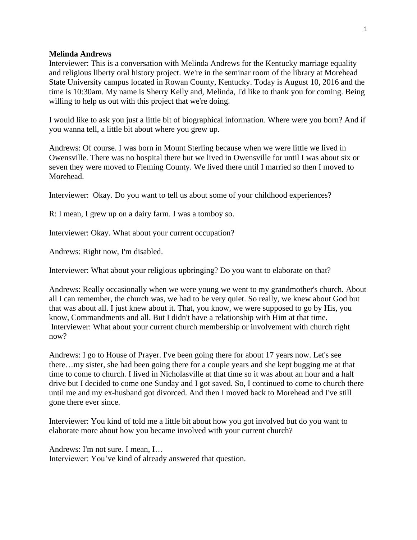## **Melinda Andrews**

Interviewer: This is a conversation with Melinda Andrews for the Kentucky marriage equality and religious liberty oral history project. We're in the seminar room of the library at Morehead State University campus located in Rowan County, Kentucky. Today is August 10, 2016 and the time is 10:30am. My name is Sherry Kelly and, Melinda, I'd like to thank you for coming. Being willing to help us out with this project that we're doing.

I would like to ask you just a little bit of biographical information. Where were you born? And if you wanna tell, a little bit about where you grew up.

Andrews: Of course. I was born in Mount Sterling because when we were little we lived in Owensville. There was no hospital there but we lived in Owensville for until I was about six or seven they were moved to Fleming County. We lived there until I married so then I moved to Morehead.

Interviewer: Okay. Do you want to tell us about some of your childhood experiences?

R: I mean, I grew up on a dairy farm. I was a tomboy so.

Interviewer: Okay. What about your current occupation?

Andrews: Right now, I'm disabled.

Interviewer: What about your religious upbringing? Do you want to elaborate on that?

Andrews: Really occasionally when we were young we went to my grandmother's church. About all I can remember, the church was, we had to be very quiet. So really, we knew about God but that was about all. I just knew about it. That, you know, we were supposed to go by His, you know, Commandments and all. But I didn't have a relationship with Him at that time. Interviewer: What about your current church membership or involvement with church right now?

Andrews: I go to House of Prayer. I've been going there for about 17 years now. Let's see there…my sister, she had been going there for a couple years and she kept bugging me at that time to come to church. I lived in Nicholasville at that time so it was about an hour and a half drive but I decided to come one Sunday and I got saved. So, I continued to come to church there until me and my ex-husband got divorced. And then I moved back to Morehead and I've still gone there ever since.

Interviewer: You kind of told me a little bit about how you got involved but do you want to elaborate more about how you became involved with your current church?

Andrews: I'm not sure. I mean, I… Interviewer: You've kind of already answered that question.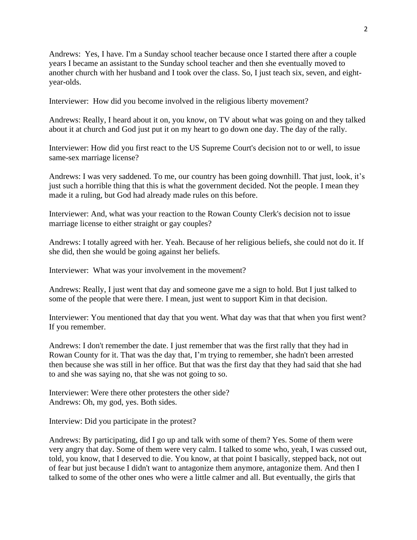Andrews: Yes, I have. I'm a Sunday school teacher because once I started there after a couple years I became an assistant to the Sunday school teacher and then she eventually moved to another church with her husband and I took over the class. So, I just teach six, seven, and eightyear-olds.

Interviewer: How did you become involved in the religious liberty movement?

Andrews: Really, I heard about it on, you know, on TV about what was going on and they talked about it at church and God just put it on my heart to go down one day. The day of the rally.

Interviewer: How did you first react to the US Supreme Court's decision not to or well, to issue same-sex marriage license?

Andrews: I was very saddened. To me, our country has been going downhill. That just, look, it's just such a horrible thing that this is what the government decided. Not the people. I mean they made it a ruling, but God had already made rules on this before.

Interviewer: And, what was your reaction to the Rowan County Clerk's decision not to issue marriage license to either straight or gay couples?

Andrews: I totally agreed with her. Yeah. Because of her religious beliefs, she could not do it. If she did, then she would be going against her beliefs.

Interviewer: What was your involvement in the movement?

Andrews: Really, I just went that day and someone gave me a sign to hold. But I just talked to some of the people that were there. I mean, just went to support Kim in that decision.

Interviewer: You mentioned that day that you went. What day was that that when you first went? If you remember.

Andrews: I don't remember the date. I just remember that was the first rally that they had in Rowan County for it. That was the day that, I'm trying to remember, she hadn't been arrested then because she was still in her office. But that was the first day that they had said that she had to and she was saying no, that she was not going to so.

Interviewer: Were there other protesters the other side? Andrews: Oh, my god, yes. Both sides.

Interview: Did you participate in the protest?

Andrews: By participating, did I go up and talk with some of them? Yes. Some of them were very angry that day. Some of them were very calm. I talked to some who, yeah, I was cussed out, told, you know, that I deserved to die. You know, at that point I basically, stepped back, not out of fear but just because I didn't want to antagonize them anymore, antagonize them. And then I talked to some of the other ones who were a little calmer and all. But eventually, the girls that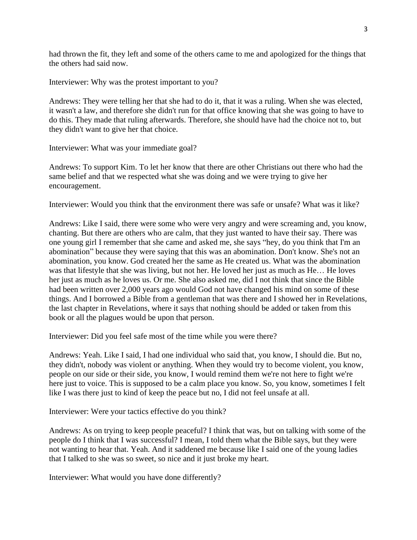had thrown the fit, they left and some of the others came to me and apologized for the things that the others had said now.

Interviewer: Why was the protest important to you?

Andrews: They were telling her that she had to do it, that it was a ruling. When she was elected, it wasn't a law, and therefore she didn't run for that office knowing that she was going to have to do this. They made that ruling afterwards. Therefore, she should have had the choice not to, but they didn't want to give her that choice.

Interviewer: What was your immediate goal?

Andrews: To support Kim. To let her know that there are other Christians out there who had the same belief and that we respected what she was doing and we were trying to give her encouragement.

Interviewer: Would you think that the environment there was safe or unsafe? What was it like?

Andrews: Like I said, there were some who were very angry and were screaming and, you know, chanting. But there are others who are calm, that they just wanted to have their say. There was one young girl I remember that she came and asked me, she says "hey, do you think that I'm an abomination" because they were saying that this was an abomination. Don't know. She's not an abomination, you know. God created her the same as He created us. What was the abomination was that lifestyle that she was living, but not her. He loved her just as much as He… He loves her just as much as he loves us. Or me. She also asked me, did I not think that since the Bible had been written over 2,000 years ago would God not have changed his mind on some of these things. And I borrowed a Bible from a gentleman that was there and I showed her in Revelations, the last chapter in Revelations, where it says that nothing should be added or taken from this book or all the plagues would be upon that person.

Interviewer: Did you feel safe most of the time while you were there?

Andrews: Yeah. Like I said, I had one individual who said that, you know, I should die. But no, they didn't, nobody was violent or anything. When they would try to become violent, you know, people on our side or their side, you know, I would remind them we're not here to fight we're here just to voice. This is supposed to be a calm place you know. So, you know, sometimes I felt like I was there just to kind of keep the peace but no, I did not feel unsafe at all.

Interviewer: Were your tactics effective do you think?

Andrews: As on trying to keep people peaceful? I think that was, but on talking with some of the people do I think that I was successful? I mean, I told them what the Bible says, but they were not wanting to hear that. Yeah. And it saddened me because like I said one of the young ladies that I talked to she was so sweet, so nice and it just broke my heart.

Interviewer: What would you have done differently?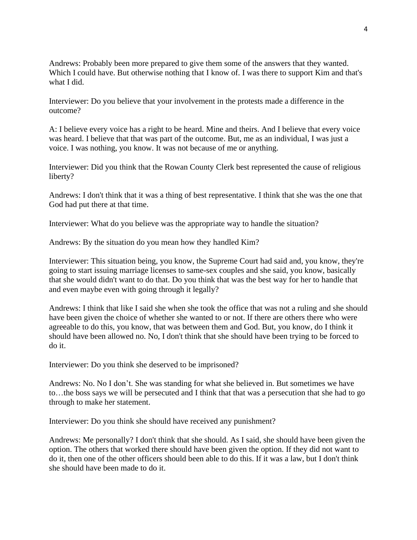Andrews: Probably been more prepared to give them some of the answers that they wanted. Which I could have. But otherwise nothing that I know of. I was there to support Kim and that's what I did.

Interviewer: Do you believe that your involvement in the protests made a difference in the outcome?

A: I believe every voice has a right to be heard. Mine and theirs. And I believe that every voice was heard. I believe that that was part of the outcome. But, me as an individual, I was just a voice. I was nothing, you know. It was not because of me or anything.

Interviewer: Did you think that the Rowan County Clerk best represented the cause of religious liberty?

Andrews: I don't think that it was a thing of best representative. I think that she was the one that God had put there at that time.

Interviewer: What do you believe was the appropriate way to handle the situation?

Andrews: By the situation do you mean how they handled Kim?

Interviewer: This situation being, you know, the Supreme Court had said and, you know, they're going to start issuing marriage licenses to same-sex couples and she said, you know, basically that she would didn't want to do that. Do you think that was the best way for her to handle that and even maybe even with going through it legally?

Andrews: I think that like I said she when she took the office that was not a ruling and she should have been given the choice of whether she wanted to or not. If there are others there who were agreeable to do this, you know, that was between them and God. But, you know, do I think it should have been allowed no. No, I don't think that she should have been trying to be forced to do it.

Interviewer: Do you think she deserved to be imprisoned?

Andrews: No. No I don't. She was standing for what she believed in. But sometimes we have to…the boss says we will be persecuted and I think that that was a persecution that she had to go through to make her statement.

Interviewer: Do you think she should have received any punishment?

Andrews: Me personally? I don't think that she should. As I said, she should have been given the option. The others that worked there should have been given the option. If they did not want to do it, then one of the other officers should been able to do this. If it was a law, but I don't think she should have been made to do it.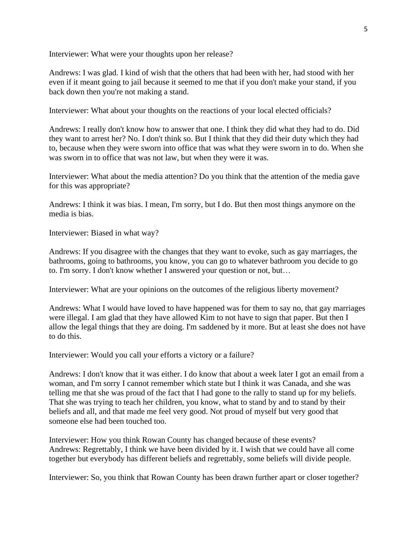Interviewer: What were your thoughts upon her release?

Andrews: I was glad. I kind of wish that the others that had been with her, had stood with her even if it meant going to jail because it seemed to me that if you don't make your stand, if you back down then you're not making a stand.

Interviewer: What about your thoughts on the reactions of your local elected officials?

Andrews: I really don't know how to answer that one. I think they did what they had to do. Did they want to arrest her? No. I don't think so. But I think that they did their duty which they had to, because when they were sworn into office that was what they were sworn in to do. When she was sworn in to office that was not law, but when they were it was.

Interviewer: What about the media attention? Do you think that the attention of the media gave for this was appropriate?

Andrews: I think it was bias. I mean, I'm sorry, but I do. But then most things anymore on the media is bias.

Interviewer: Biased in what way?

Andrews: If you disagree with the changes that they want to evoke, such as gay marriages, the bathrooms, going to bathrooms, you know, you can go to whatever bathroom you decide to go to. I'm sorry. I don't know whether I answered your question or not, but…

Interviewer: What are your opinions on the outcomes of the religious liberty movement?

Andrews: What I would have loved to have happened was for them to say no, that gay marriages were illegal. I am glad that they have allowed Kim to not have to sign that paper. But then I allow the legal things that they are doing. I'm saddened by it more. But at least she does not have to do this.

Interviewer: Would you call your efforts a victory or a failure?

Andrews: I don't know that it was either. I do know that about a week later I got an email from a woman, and I'm sorry I cannot remember which state but I think it was Canada, and she was telling me that she was proud of the fact that I had gone to the rally to stand up for my beliefs. That she was trying to teach her children, you know, what to stand by and to stand by their beliefs and all, and that made me feel very good. Not proud of myself but very good that someone else had been touched too.

Interviewer: How you think Rowan County has changed because of these events? Andrews: Regrettably, I think we have been divided by it. I wish that we could have all come together but everybody has different beliefs and regrettably, some beliefs will divide people.

Interviewer: So, you think that Rowan County has been drawn further apart or closer together?